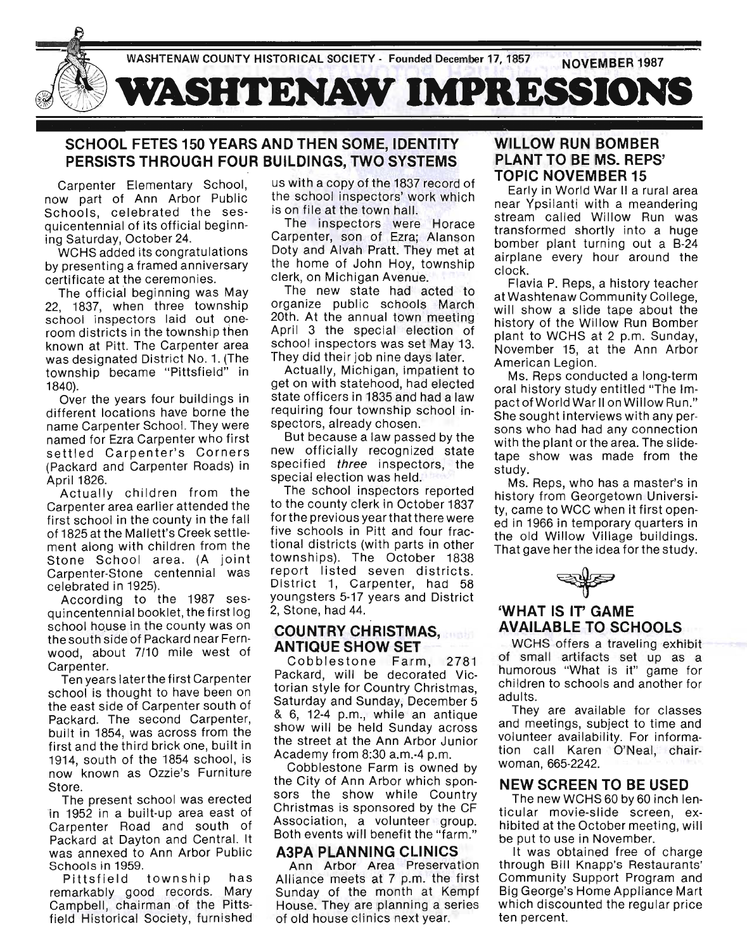

## SCHOOL FETES 150 YEARS AND THEN SOME, IDENTITY PERSISTS THROUGH FOUR BUILDINGS, TWO SYSTEMS

Carpenter Elementary School, now part of Ann Arbor Public Schools, celebrated the sesquicentennial ef its efficial beginning Saturday, October 24.

WCHS added its congratulations by presenting a framed anniversary certificate at the ceremenies.

The official beginning was May 22, 1837, when three tewnship school inspectors laid out oneroom districts in the township then knewn at Pitt. The Carpenter area was designated District No. 1. (The township became "Pittsfield" in 1840).

Over the years four buildings in different locations have borne the name Carpenter School. They were named for Ezra Carpenter who first settled Carpenter's Corners (Packard and Carpenter Roads) in April 1826.

Actually children from the Carpenter area earlier attended the first school in the county in the fall ef 1825 at the Mallett's Creek settlement along with children from the Stone School area. (A joint Carpenter-Stone centennial was celebrated in 1925).

Accerding to. the 1987 sesquincentennial booklet, the first log school house in the county was on the seuth side ef Packard near Fernwood, about 7/10 mile west of Carpenter.

Ten years later the first Carpenter school is thought to have been on the east side of Carpenter south of Packard. The second Carpenter, built in 1854, was across from the first and the third brick one, built in 1914, south of the 1854 school, is now known as Ozzie's Furniture Store.

The present school was erected in 1952 in a built-up area east of Carpenter Road and south of Packard at Dayton and Central. It was annexed to Ann Arbor Public Schools in 1959.

Pittsfield township has remarkably good records. Mary Campbell, chairman of the Pittsfield Historical Society, furnished

us with a copy of the 1837 record of the school inspectors' work which is on file at the town hall.

The inspectors were Horace Carpenter, son of Ezra; Alanson Dety and Alvah Pratt. They met at the home of John Hoy, township clerk, en Michigan Avenue.

The new state had acted to. organize public schools March 20th. At the annual town meeting April 3 the special election of school inspectors was set May 13. They did their job nine days later.

Actually, Michigan, impatient to. get on with statehood, had elected state efficers in 1835 and had a law requiring four township school inspectors, already chosen.

But because a law passed by the new officially recognized state specified three inspectors, the special election was held.

The school inspectors reported to the county clerk in October 1837 for the previous year that there were five schools in Pitt and four fractional districts (with parts in other townships). The October 1838 repert listed seven districts. District 1, Carpenter, had 58 yeungsters 5-17 years and District 2, Stone, had 44.

#### COUNTRY CHRISTMAS, ANTIQUE SHOW SET

Cobblestone Farm, 2781 Packard, will be decorated Victorian style for Country Christmas, Saturday and Sunday, December 5 & 6, 12-4 p.m., while an antique show will be held Sunday across the street at the Ann Arbor Junior Academy frem 8:30 a.m.-4 p.m.

Cobblestone Farm is owned by the City of Ann Arbor which sponsors the show while Country Christmas is sponsored by the CF Association, a volunteer group. Both events will benefit the "farm."

#### . A3PA PLANNING CLINICS

Ann Arbor Area Preservation Alliance meets at 7 p.m. the first Sunday of the month at Kempf House. They are planning a series ef eld heuse clinics next year.

#### WILLOW RUN BOMBER PLANT TO BE MS. REPS' TOPIC NOVEMBER 15

Early in Werld War II a rural area near Ypsilanti with a meandering stream called Willow Run was transfermed shertly into. a huge bomber plant turning out a B-24 airplane every hour around the clock.

Flavia P. Reps, a histery teacher at Washtenaw Community College. will show a slide tape about the history of the Willow Run Bomber plant to WCHS at 2 p.m. Sunday, November 15, at the Ann Arbor American Legion.

Ms. Reps conducted a long-term eral histery study entitled "The Impact efWerld War II en Willew Run." She sought interviews with any persons who had had any connection with the plant or the area. The slidetape show was made from the study.

Ms. Reps, who has a master's in history from Georgetown University, came to WCC when it first opened in 1966 in temperary quarters in the old Willow Village buildings. That gave her the idea for the study.

# WHAT IS IT' GAME AVAILABLE TO SCHOOLS

WCHS offers a traveling exhibit ef small artifacts set up as a humorous "What is it" game for children to schools and another for adults.

They are available for classes and meetings, subject to time and volunteer availability. For informatien call Karen O'Neal, chairweman, 665-2242.

#### NEW SCREEN TO BE USED

The new WCHS 60 by 60 inch lenticular mevie-slide screen, exhibited at the October meeting, will be put to use in November.

It was obtained free of charge threugh Bill Knapp's Restaurants' Community Support Program and Big George's Home Appliance Mart which disceunted the regular price ten percent.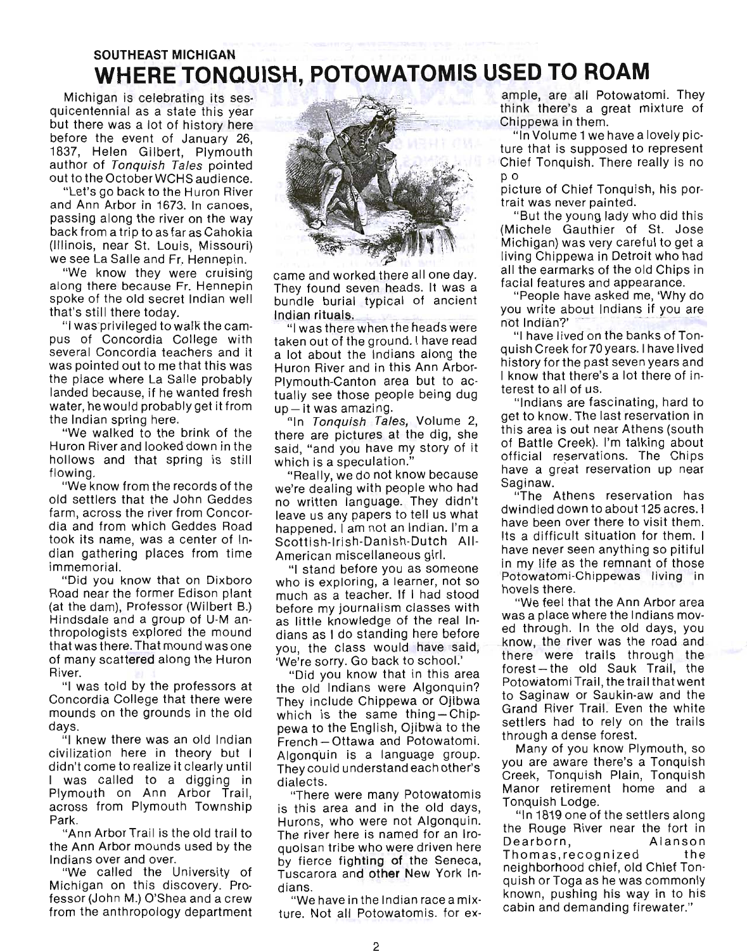# **SOUTHEAST MICHIGAN WHERE TONQUISH, POTOWATOMIS USED TO ROAM**

Michigan is celebrating its sesquicentennial as a state this year but there was a lot of history here before the event of January 26, 1837, Helen Gilbert, Plymouth author of Tonquish Tales pointed out to the OctoberWCHS audience.

"Let's go back to the Huron River and Ann Arbor in 1673. In canoes, passing along the river on the way back from a trip to as far as Cahokia (Illinois, near St. Louis, Missouri) we see La Salle and Fr. Hennepin.

"We know they were cruisin'g along there because Fr. Hennepin spoke of the old secret Indian well that's still there today.

"I was privileged to waIk the campus of Concordia College with several Concordia teachers and it was pointed out to me that this was the place where La Salle probably landed because, if he wanted fresh water, he would probably get it from the Indian spring here.

"We walked to the brink of the Huron River and looked down in the hollows and that spring is still flowing.

"We know from the records of the old settlers that the John Geddes farm, across the river from Concordia and from which Geddes Road took its name, was a center of Indian gathering places from time immemorial.

"Did you know that on Dixboro Road near the former Edison plant (at the dam), Professor (Wilbert B.) Hindsdale and a group of U-M anthropologists explored the mound that was there. That mound was oneof many scattered along the Huron River.

"I was told by the professors at Concordia College that there were mounds on the grounds in the old days.

"I knew there was an old Indian civilization here in theory but I didn't come to realize it clearly until I was called to a digging in Plymouth on Ann Arbor Trail, across from Plymouth Township Park.

"Ann Arbor Trail is the old trail to the Ann Arbor mounds used by the Indians over and over.

"We called the University of Michigan on this discovery. Professor (John M.) O'Shea and a crew from the anthropology department



came and worked there all one day. They found seven heads. It was a bundle burial typical of ancient Indian rituals.

"I was there when the heads were taken out of the ground. I have read a lot about the Indians along the Huron River and in this Ann Arbor-Plymouth-Canton area but to actually see those people being dug  $up$  - it was amazing.

"In Tonquish Tales, Volume 2, there are pictures at the dig, she said, "and you have my story of it which is a speculation."

"Really, we do not know because we're dealing with people who had no written language. They didn't leave us any papers to tell us what happened. I am not an Indian. I'm a Scottish-Irish-Danish-Dutch AII-American miscellaneous girl.

"I stand before you as someone who is exploring, a learner, not so much as a teacher. If I had stood before my journalism classes with as little knowledge of the real Indians as I do standing here before you, the class would have said, 'We're sorry. Go back to school.'

"Did you know that in this area the old Indians were Algonquin? They include Chippewa or Ojibwa which is the same thing  $-$  Chippewa to the English, Ojibwa to the French-Ottawa and Potowatomi. Algonquin is a language group. Theycould understand each other's dialects.

"There were many Potowatomis is this area and in the old days, Hurons, who were not Algonquin. The river here is named for an Iroquoisan tribe who were driven here by fierce fighting of the Seneca, Tuscarora and other New York Indians.

"We have in the Indian race a mixture. Not all Potowatomis. for ex-

ample, are all Potowatomi. They think there's a great mixture of Chippewa in them.

"In Volume 1 we have a lovely picture that is supposed to represent Chief Tonquish. There really is no po

picture of Chief Tonquish, his portrait was never painted.

"But the young lady who did this (Michele Gauthier of St. Jose Michigan) was very careful to get a living Chippewa in Detroit who had all the earmarks of the old Chips in facial features and appearance.

"People have asked me, 'Why do you write about Indians if you are<br>not Indian?'

"I have lived on the banks of Tonqu ish Creek for70years. 1 have lived history for the past seven years and I know that there's a lot there of interest to all of us.

"Indians are fascinating, hard to get to know. The last reservation in this area is out near Athens (south of Battle Creek). I'm talking about official reservations. The Chips have a great reservation up near Saginaw.

"The Athens reservation has dwindled down to about 125 acres. I have been over there to visit them. Its a difficult situation for them. I have never seen anything so pitiful in my life as the remnant of those Potowatomi-Chippewas living in hovels there. .

"We feel that the Ann Arbor area was a place where the Indians moved through. In the old days, you know, the river was the road and there were trails through the forest-the old Sauk Trail, the Potowatomi Trail, the trail that went to Saginaw or Saukin-aw and the Grand River Trail. Even the white settlers had to rely on the trails through a dense forest.

Many of you know Plymouth, so you are aware there's a Tonquish Creek, Tonquish Plain, Tonquish Manor retirement home and a Tonquish Lodge.

"In 1819 one of the settlers along the Rouge River near the fort in Dearborn, Alanson Thomas ,recognized the neighborhood chief, old Chief Tonquish or Toga as he was commonly known, pushing his way in to his cabin and demanding firewater."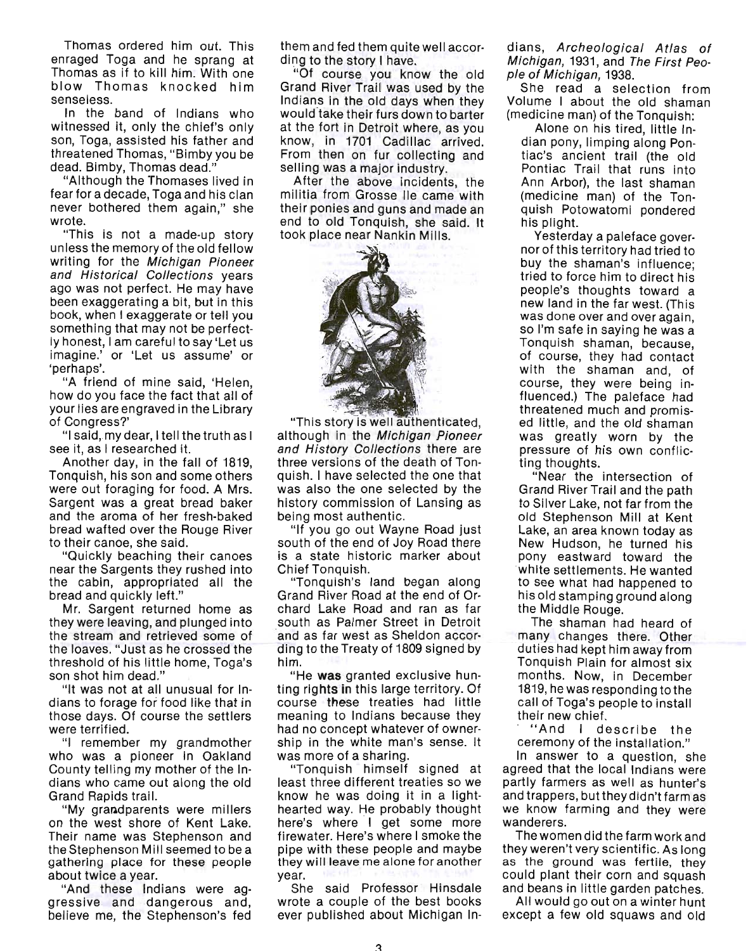Thomas ordered him out. This enraged Toga and he sprang at Thomas as if to kill him. With one blow Thomas knocked him senseless.

In the band of Indians who witnessed it, only the chief's only son, Toga, assisted his father and threatened Thomas, "Bimby you be dead. Bimby, Thomas dead."

"Although the Thomases lived in fear for a decade, Toga and his clan never bothered them again," she wrote.

"This is not a made-up story unless the memory of the old fellow writing for the Michigan Pioneer and Historical Collections years ago was not perfect. He may have been exaggerating a bit, but in this book, when I exaggerate or tell you something that may not be perfectly honest, I am careful to say 'Let us imagine.' or 'Let us assume' or 'perhaps'.

"A friend of mine said, 'Helen, how do you face the fact that all of your lies are engraved in the Library of Congress?'

"I said,.my dear, I tell the truth as I see it, as I researched it.

Another day, in the fall of 1819, Tonquish, his son and some others were out foraging for food. A Mrs. Sargent was a great bread baker and the aroma of her fresh-baked bread wafted over the Rouge River to their canoe, she said.

"Quickly beaching their canoes near the Sargents they rushed into the cabin, appropriated all the bread and quickly left."

Mr. Sargent returned home as they were leaving, and plunged into the stream and retrieved some of the loaves. "Just as he crossed the threshold of his little home, Toga's son shot him dead."

"It was not at all unusual for Indians to forage for food like that in those days. Of course the settlers were terrified.

"I remember my grandmother who was a pioneer in Oakland County telling my mother of the Indians who came out along the old Grand Rapids trail.

"My grandparents were millers on the west shore of Kent Lake. Their name was Stephenson and the Stephenson Mill seemed to be a gathering place for these people about twice a year.

"And these Indians were aggressive and dangerous and, believe me, the Stephenson's fed them and fed them quite well according to the story I have.

"Of course you know the old Grand River Trail was used by the Indians in the old days when they would take their furs down to barter at the fort in Detroit where, as you know, in 1701 Cadillac arrived. From then on fur collecting and selling was a major industry.

After the above incidents, the militia from Grosse lie came with their ponies and guns and made an end to old Tonquish, she said. It took place near Nankin Mills.



"This story is well authenticated, although in the Michigan Pioneer and History Collections there are three versions of the death of Tonquish. I have selected the one that was also the one selected by the history commission of Lansing as being most authentic.

"If you go out Wayne Road just south of the end of Joy Road there is a state historic marker about Chief Tonquish.

"Tonquish's land began along Grand River Road at the end of Orchard Lake Road and ran as far south as Palmer Street in Detroit and as far west as Sheldon according to the Treaty of 1809 signed by him.

"He was granted exclusive hunting rights in this large territory. Of course these treaties had little meaning to Indians because they had no concept whatever of ownership in the white man's sense. It was more of a sharing.

"Tonquish himself signed at least three different treaties so we know he was doing it in a lighthearted way. He probably thought here's where I get some more firewater. Here's where I smoke the pipe with these people and maybe they will leave me alone for another year.

She said Professor Hinsdale wrote a couple of the best books ever published about Michigan Indians, Archeological Atlas of Michigan, 1931, and The First People of Michigan, 1938.

She read a selection from Volume I about the old shaman (medicine man) of the Tonquish:

Alone on his tired, little Indian pony, limping along Pontiac's ancient trail (the old Pontiac Trail that runs into Ann Arbor), the last shaman (medicine man) of the Tonquish Potowatomi pondered his plight.

Yesterday a paleface governor of this territory had tried to buy the shaman's influence; tried to force him to direct his people's thoughts toward a new land in the far west. (This was done over and over again, so I'm safe in saying he was a Tonquish shaman, because, of course, they had contact with the shaman and, of course, they were being influenced.) The paleface had threatened much and promised little, and the old shaman was greatly worn by the pressure of his own conflicting thoughts.

"Near the intersection of Grand River Trail and the path to Silver Lake, not far from the old Stephenson Mill at Kent Lake, an area known today as New Hudson, he turned his pony eastward toward the white settlements. He wanted to see what had happened to his old stamping ground along the Middle Rouge.

The shaman had heard of many changes there. Other duties had kept him away from Tonquish Plain for almost six months. Now, in December 1819, he was responding tothe call of Toga's people to install their new chief.

"And I describe the ceremony of the installation."

In answer to a question, she agreed that the local Indians were partly farmers as well as hunter's and trappers, but they didn't farm as we know farming and they were wanderers.

The women did the farm work and they weren't very scientific. As long as the ground was fertile, they could plant their corn and squash and beans in little garden patches.

All would go out on a winter hunt except a few old squaws and old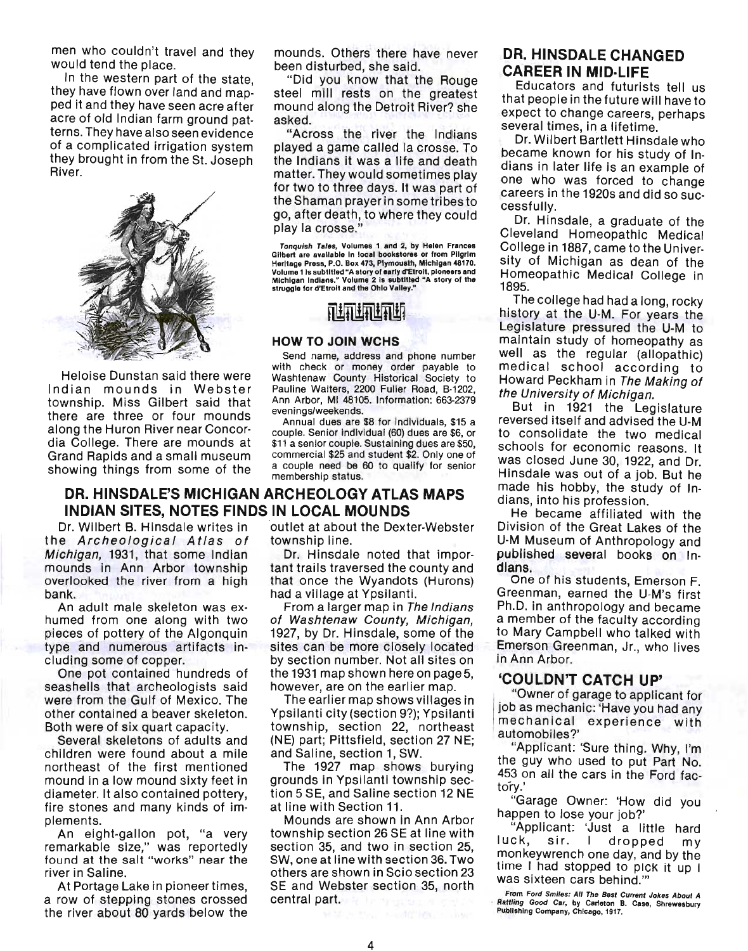men who couldn't travel and they would tend the place.

In the western part of the state, they have flown over land and mapped it and they have seen acre after acre of old Indian farm ground patterns. They have also seen evidence of a complicated irrigation system they brought in from the St. Joseph River.



Heloise Dunstan said there were Indian mounds in Webster township. Miss Gilbert said that there are three or four mounds along the Huron River near Concordia College. There are mounds at Grand Rapids and a small museum showing things from some of the

mounds. Others there have never been disturbed, she said.

"Did you know that the Rouge steel mill rests on the greatest mound along the Detroit River? she asked.

"Across the river the Indians played a game called la crosse. To the Indians it was a life and death matter. They would sometimes play for two to three days. It was part of the Shaman prayer in some tribes to go, after death, to where they could play la crosse."

Tonquish Tales, Volumes 1 and 2, by Helen Frances<br>Githert are available in local bookstores or from Pilgrim Heritage Press, P.O. Box 473, Plymousth, Michigan 48170. Volume 1 is subtitled "A story of early d'Etrolt, pioneers and<br>Michigan Indians." Volume 2 is subtitled "A story of the struggle for d'Etrolt and the Ohio Valley."

# 前折断断断

#### **HOW TO JOIN WCHS**

Send name, address and phone number with check or money order payable to Washtenaw County Historical Society to Pauline Walters, 2200 Fuller Road, 8·1202, Ann Arbor, MI 48105. Information: 663-2379 evenings/weekends.

Annual dues are \$8 for individuals, \$15 a couple. Senior individual (60) dues are \$6, or \$11 a senior couple. Sustaining dues are \$50, commercial \$25 and student \$2. Only one of a couple need be 60 to qualify for senior membership status.

#### **DR. HINSDALE'S MICHIGAN ARCHEOLOGY ATLAS MAPS INDIAN SITES, NOTES FINDS IN LOCAL MOUNDS**

the Archeological Atlas of township line. Michigan, 1931, that some Indian Dr. Hinsdale noted that impormounds in Ann Arbor township tant trails traversed the county and overlooked the river from a high that once the Wyandots (Hurons) bank. had a village at Ypsilanti.

An adult male skeleton was ex-<br>From a larger map in The Indians humed from one along with two of Washtenaw County, Michigan, pieces of pottery of the Algonquin 1927, by Dr. Hinsdale, some of the type and numerous artifacts in- sites can be more closely located eluding some of copper. by section number. Not all sites on

seashells that archeologists said however, are on the earlier map. were from the Gulf of Mexico. The The earlier map shows villages in other contained a beaver skeleton. Ypsilanti city (section 9?); Ypsilanti Both were of six quart capacity. township, section 22, northeast

children were found about a mile and Saline, section 1, SW. northeast of the first mentioned The 1927 map shows burying mound in a low mound Sixty feet in grounds in Ypsilanti township secdiameter. It also contained pottery, tion 5 SE, and Saline section 12 NE fire stones and many kinds of im- at line with Section 11. plements. Mounds are shown in Ann Arbor

remarkable size," was reportedly section 35, and two in section 25, found at the salt "works" near the SW, one at line with section 36. Two

a row of stepping stones crossed central part. the river about 80 yards below the

Dr. Wilbert B. Hinsdale writes in 'outlet at about the Dexter-Webster

One pot contained hundreds of the 1931 map shown here on page 5,

Several skeletons of adults and (NE) part; Pittsfield, section 27 NE;

An eight-gallon pot, "a very township section  $26$  SE at line with river in Saline.  $\blacksquare$  others are shown in Scio section 23 At Portage Lake in pioneer times, SE and Webster section 35, north

#### **DR. HINSDALE CHANGED CAREER IN MID·LlFE**

Educators and futurists tell us that people in the future will have to expect to change careers, perhaps several times, in a lifetime.

Dr. Wilbert Bartlett Hinsdale who became known for his study of Indians in later life is an example of one who was forced to change careers in the 1920s and did so successfully.

Dr. Hinsdale, a graduate of the Cleveland Homeopathic Medical College in 1887, came to the University of Michigan as dean of the Homeopathic Medical College in 1895.

The college had had a long, rocky history at the U-M. For years the Legislature pressured the U-M to maintain study of homeopathy as well as the regular (allopathic) medical school according to Howard Peckham in The Making of the University of Michigan.

But in 1921 the Legislature reversed itself and advised the U-M to consolidate the two medical schools for economic reasons. It was closed June 30, 1922, and Dr. Hinsdale was out of a job. But he made his hobby, the study of Indians, into his profession.

He became affiliated with the Division of the Great Lakes of the U-M Museum of Anthropology and published several books on Indians.

One of his students, Emerson F. Greenman, earned the U-M's first Ph.D. in anthropology and became a member of the faculty according to Mary Campbell who talked with Emerson Greenman, Jr., who lives in Ann Arbor.

#### **'COULDN'T CATCH UP'**

"Owner of garage to applicant for job as mechanic: 'Have you had any mechanical experience with automobiles?'

"Applicant: 'Sure thing. Why, I'm the guy who used to put Part No. 453 on all the cars in the Ford factory.'

"Garage Owner: 'How did you happen to lose your job?'

"Applicant: 'Just a little hard luck, sir. I dropped my monkeywrench one day, and by the time I had stopped to pick it up I was sixteen cars behind.'''

From Ford Smiles; All The 8est Current Jokes About A Rattling Good Car, by Carleton B. Case, Shrewesbury<br>Publishing Company, Chicago, 1917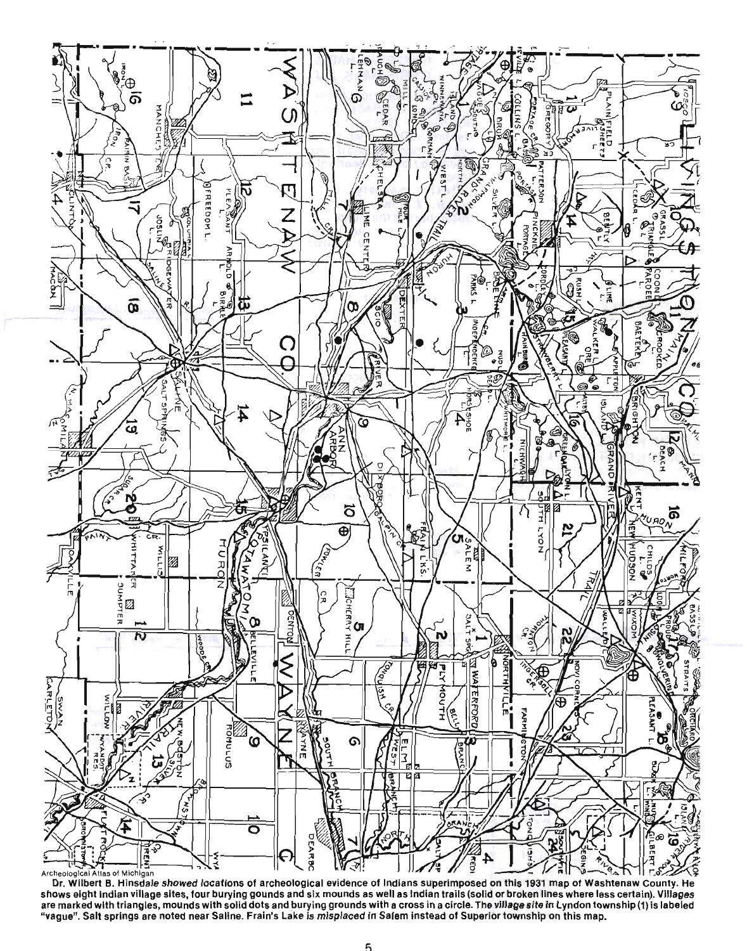

shows eight Indian village sites, four burying gounds and six mounds as well as Indian trails (solid or broken lines where less certain). Villages are marked with triangles, mounds with solid dots and burying grounds with a cross in a circle. The village site in Lyndon township (1) is labeled "vague". Salt springs are noted near Saline. Frain's Lake is misplaced in Salem instead of Superior township on this map.